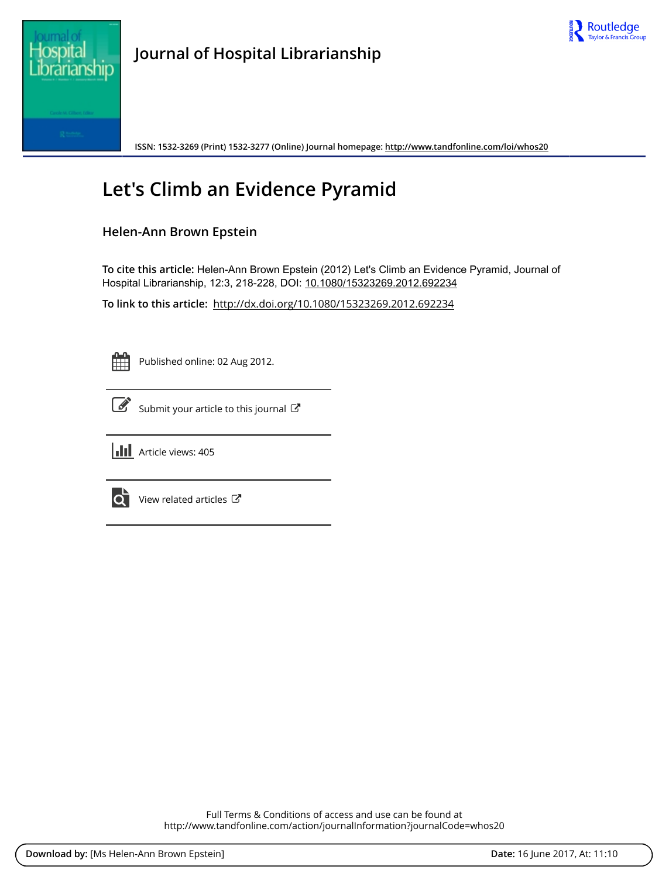



**Journal of Hospital Librarianship**

**ISSN: 1532-3269 (Print) 1532-3277 (Online) Journal homepage:<http://www.tandfonline.com/loi/whos20>**

# **Let's Climb an Evidence Pyramid**

## **Helen-Ann Brown Epstein**

**To cite this article:** Helen-Ann Brown Epstein (2012) Let's Climb an Evidence Pyramid, Journal of Hospital Librarianship, 12:3, 218-228, DOI: [10.1080/15323269.2012.692234](http://www.tandfonline.com/action/showCitFormats?doi=10.1080/15323269.2012.692234)

**To link to this article:** <http://dx.doi.org/10.1080/15323269.2012.692234>



Published online: 02 Aug 2012.



 $\overrightarrow{S}$  [Submit your article to this journal](http://www.tandfonline.com/action/authorSubmission?journalCode=whos20&show=instructions)  $\overrightarrow{S}$ 



**lot** 

[View related articles](http://www.tandfonline.com/doi/mlt/10.1080/15323269.2012.692234) C

Full Terms & Conditions of access and use can be found at <http://www.tandfonline.com/action/journalInformation?journalCode=whos20>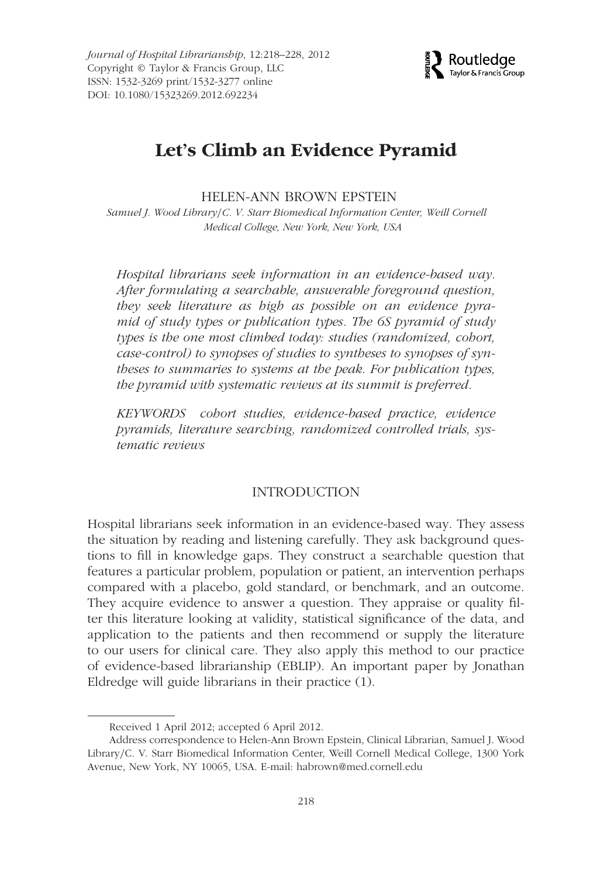

## **Let's Climb an Evidence Pyramid**

HELEN-ANN BROWN EPSTEIN

*Samuel J. Wood Library/C. V. Starr Biomedical Information Center, Weill Cornell Medical College, New York, New York, USA*

*Hospital librarians seek information in an evidence-based way. After formulating a searchable, answerable foreground question, they seek literature as high as possible on an evidence pyramid of study types or publication types. The 6S pyramid of study types is the one most climbed today: studies (randomized, cohort, case-control) to synopses of studies to syntheses to synopses of syntheses to summaries to systems at the peak. For publication types, the pyramid with systematic reviews at its summit is preferred.*

*KEYWORDS cohort studies, evidence-based practice, evidence pyramids, literature searching, randomized controlled trials, systematic reviews*

#### INTRODUCTION

Hospital librarians seek information in an evidence-based way. They assess the situation by reading and listening carefully. They ask background questions to fill in knowledge gaps. They construct a searchable question that features a particular problem, population or patient, an intervention perhaps compared with a placebo, gold standard, or benchmark, and an outcome. They acquire evidence to answer a question. They appraise or quality filter this literature looking at validity, statistical significance of the data, and application to the patients and then recommend or supply the literature to our users for clinical care. They also apply this method to our practice of evidence-based librarianship (EBLIP). An important paper by Jonathan Eldredge will guide librarians in their practice (1).

Received 1 April 2012; accepted 6 April 2012.

Address correspondence to Helen-Ann Brown Epstein, Clinical Librarian, Samuel J. Wood Library*/*C. V. Starr Biomedical Information Center, Weill Cornell Medical College, 1300 York Avenue, New York, NY 10065, USA. E-mail: habrown@med.cornell.edu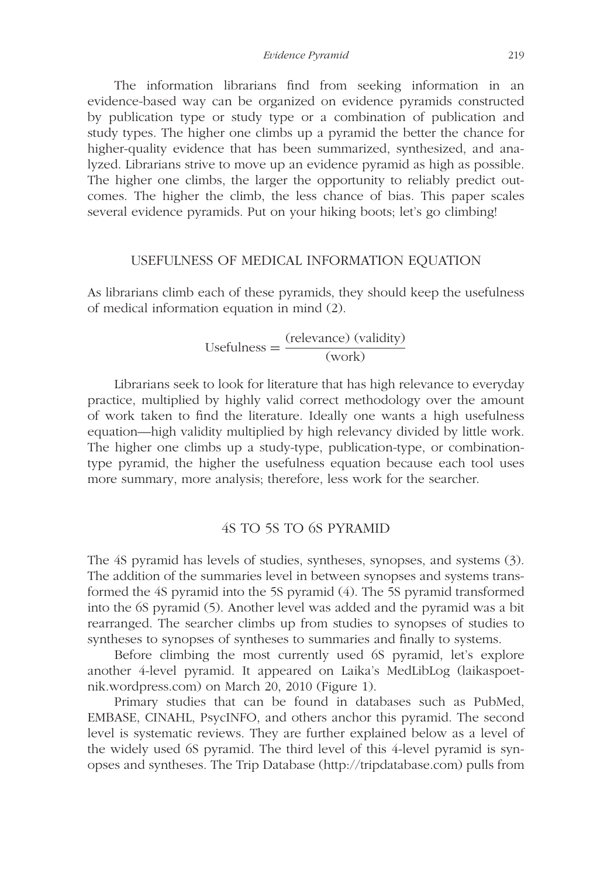*Evidence Pyramid* 219

The information librarians find from seeking information in an evidence-based way can be organized on evidence pyramids constructed by publication type or study type or a combination of publication and study types. The higher one climbs up a pyramid the better the chance for higher-quality evidence that has been summarized, synthesized, and analyzed. Librarians strive to move up an evidence pyramid as high as possible. The higher one climbs, the larger the opportunity to reliably predict outcomes. The higher the climb, the less chance of bias. This paper scales several evidence pyramids. Put on your hiking boots; let's go climbing!

#### USEFULNESS OF MEDICAL INFORMATION EQUATION

As librarians climb each of these pyramids, they should keep the usefulness of medical information equation in mind (2).

Usefulness = 
$$
\frac{\text{(relevance)}\text{(validity)}}{\text{(work)}}
$$

Librarians seek to look for literature that has high relevance to everyday practice, multiplied by highly valid correct methodology over the amount of work taken to find the literature. Ideally one wants a high usefulness equation—high validity multiplied by high relevancy divided by little work. The higher one climbs up a study-type, publication-type, or combinationtype pyramid, the higher the usefulness equation because each tool uses more summary, more analysis; therefore, less work for the searcher.

#### 4S TO 5S TO 6S PYRAMID

The 4S pyramid has levels of studies, syntheses, synopses, and systems (3). The addition of the summaries level in between synopses and systems transformed the 4S pyramid into the 5S pyramid (4). The 5S pyramid transformed into the 6S pyramid (5). Another level was added and the pyramid was a bit rearranged. The searcher climbs up from studies to synopses of studies to syntheses to synopses of syntheses to summaries and finally to systems.

Before climbing the most currently used 6S pyramid, let's explore another 4-level pyramid. It appeared on Laika's MedLibLog (laikaspoetnik.wordpress.com) on March 20, 2010 (Figure 1).

Primary studies that can be found in databases such as PubMed, EMBASE, CINAHL, PsycINFO, and others anchor this pyramid. The second level is systematic reviews. They are further explained below as a level of the widely used 6S pyramid. The third level of this 4-level pyramid is synopses and syntheses. The Trip Database (http://tripdatabase.com) pulls from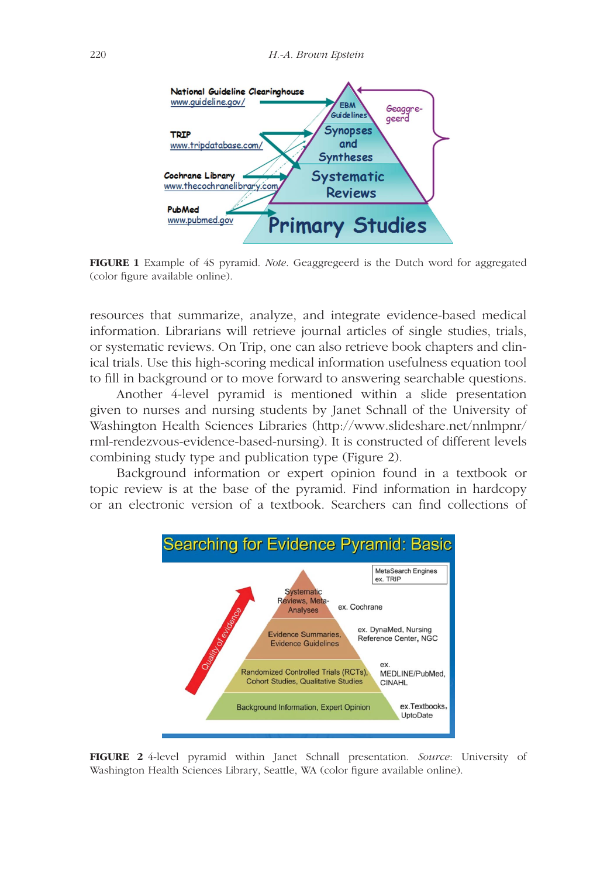

**FIGURE 1** Example of 4S pyramid. *Note*. Geaggregeerd is the Dutch word for aggregated (color figure available online).

resources that summarize, analyze, and integrate evidence-based medical information. Librarians will retrieve journal articles of single studies, trials, or systematic reviews. On Trip, one can also retrieve book chapters and clinical trials. Use this high-scoring medical information usefulness equation tool to fill in background or to move forward to answering searchable questions.

Another 4-level pyramid is mentioned within a slide presentation given to nurses and nursing students by Janet Schnall of the University of Washington Health Sciences Libraries (http://www.slideshare.net/nnlmpnr/ rml-rendezvous-evidence-based-nursing). It is constructed of different levels combining study type and publication type (Figure 2).

Background information or expert opinion found in a textbook or topic review is at the base of the pyramid. Find information in hardcopy or an electronic version of a textbook. Searchers can find collections of



**FIGURE 2** 4-level pyramid within Janet Schnall presentation. *Source*: University of Washington Health Sciences Library, Seattle, WA (color figure available online).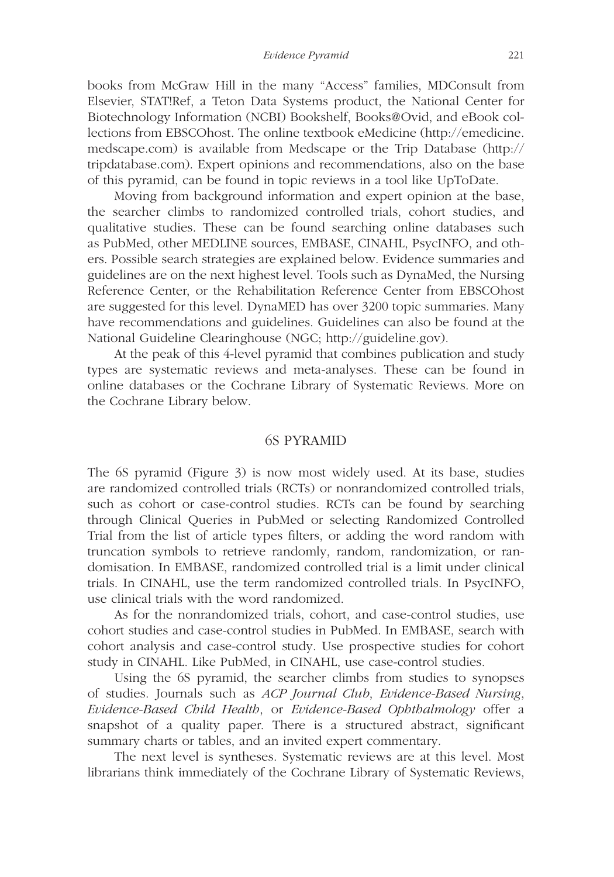books from McGraw Hill in the many "Access" families, MDConsult from Elsevier, STAT!Ref, a Teton Data Systems product, the National Center for Biotechnology Information (NCBI) Bookshelf, Books@Ovid, and eBook collections from EBSCOhost. The online textbook eMedicine (http://emedicine. medscape.com) is available from Medscape or the Trip Database (http:// tripdatabase.com). Expert opinions and recommendations, also on the base of this pyramid, can be found in topic reviews in a tool like UpToDate.

Moving from background information and expert opinion at the base, the searcher climbs to randomized controlled trials, cohort studies, and qualitative studies. These can be found searching online databases such as PubMed, other MEDLINE sources, EMBASE, CINAHL, PsycINFO, and others. Possible search strategies are explained below. Evidence summaries and guidelines are on the next highest level. Tools such as DynaMed, the Nursing Reference Center, or the Rehabilitation Reference Center from EBSCOhost are suggested for this level. DynaMED has over 3200 topic summaries. Many have recommendations and guidelines. Guidelines can also be found at the National Guideline Clearinghouse (NGC; http://guideline.gov).

At the peak of this 4-level pyramid that combines publication and study types are systematic reviews and meta-analyses. These can be found in online databases or the Cochrane Library of Systematic Reviews. More on the Cochrane Library below.

### 6S PYRAMID

The 6S pyramid (Figure 3) is now most widely used. At its base, studies are randomized controlled trials (RCTs) or nonrandomized controlled trials, such as cohort or case-control studies. RCTs can be found by searching through Clinical Queries in PubMed or selecting Randomized Controlled Trial from the list of article types filters, or adding the word random with truncation symbols to retrieve randomly, random, randomization, or randomisation. In EMBASE, randomized controlled trial is a limit under clinical trials. In CINAHL, use the term randomized controlled trials. In PsycINFO, use clinical trials with the word randomized.

As for the nonrandomized trials, cohort, and case-control studies, use cohort studies and case-control studies in PubMed. In EMBASE, search with cohort analysis and case-control study. Use prospective studies for cohort study in CINAHL. Like PubMed, in CINAHL, use case-control studies.

Using the 6S pyramid, the searcher climbs from studies to synopses of studies. Journals such as *ACP Journal Club*, *Evidence-Based Nursing*, *Evidence-Based Child Health*, or *Evidence-Based Ophthalmology* offer a snapshot of a quality paper. There is a structured abstract, significant summary charts or tables, and an invited expert commentary.

The next level is syntheses. Systematic reviews are at this level. Most librarians think immediately of the Cochrane Library of Systematic Reviews,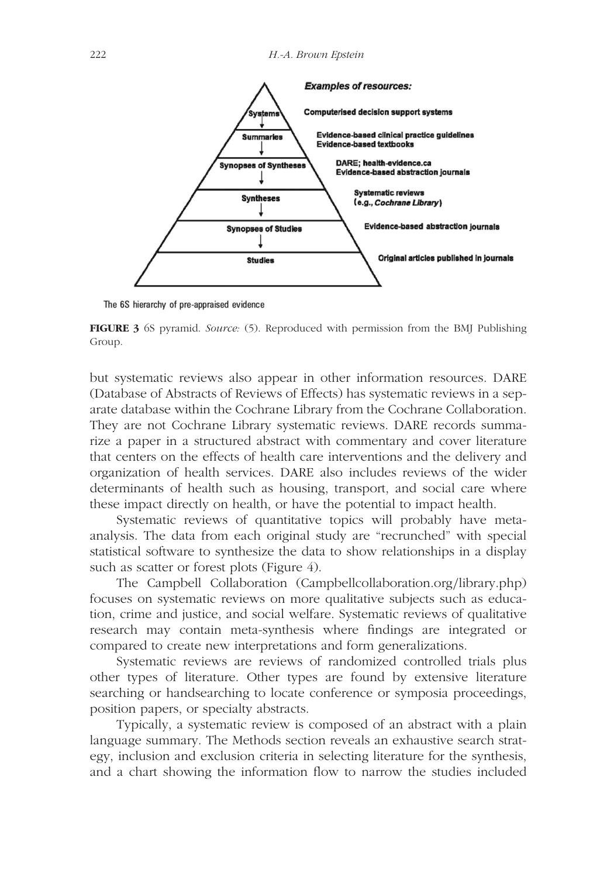



**FIGURE 3** 6S pyramid. *Source:* (5). Reproduced with permission from the BMJ Publishing Group.

but systematic reviews also appear in other information resources. DARE (Database of Abstracts of Reviews of Effects) has systematic reviews in a separate database within the Cochrane Library from the Cochrane Collaboration. They are not Cochrane Library systematic reviews. DARE records summarize a paper in a structured abstract with commentary and cover literature that centers on the effects of health care interventions and the delivery and organization of health services. DARE also includes reviews of the wider determinants of health such as housing, transport, and social care where these impact directly on health, or have the potential to impact health.

Systematic reviews of quantitative topics will probably have metaanalysis. The data from each original study are "recrunched" with special statistical software to synthesize the data to show relationships in a display such as scatter or forest plots (Figure 4).

The Campbell Collaboration (Campbellcollaboration.org*/*library.php) focuses on systematic reviews on more qualitative subjects such as education, crime and justice, and social welfare. Systematic reviews of qualitative research may contain meta-synthesis where findings are integrated or compared to create new interpretations and form generalizations.

Systematic reviews are reviews of randomized controlled trials plus other types of literature. Other types are found by extensive literature searching or handsearching to locate conference or symposia proceedings, position papers, or specialty abstracts.

Typically, a systematic review is composed of an abstract with a plain language summary. The Methods section reveals an exhaustive search strategy, inclusion and exclusion criteria in selecting literature for the synthesis, and a chart showing the information flow to narrow the studies included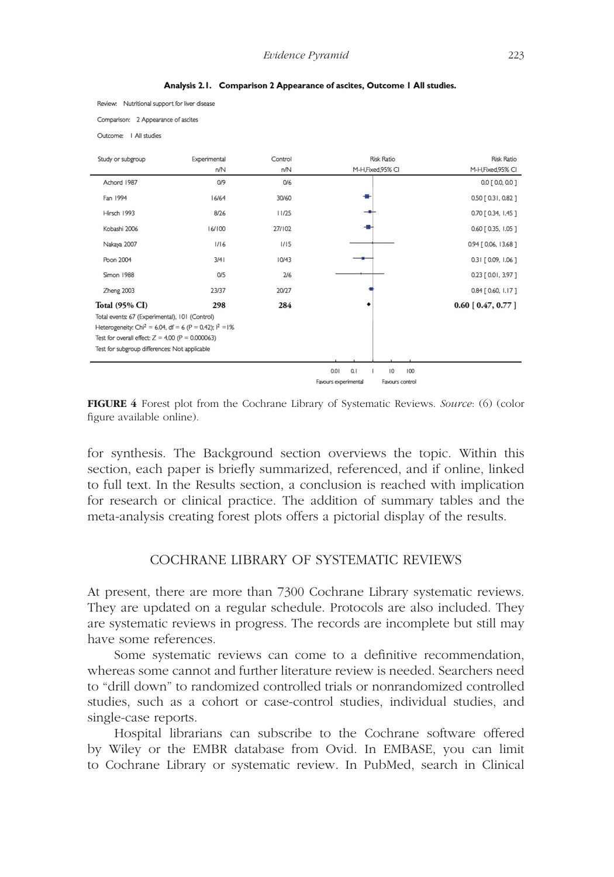| Study or subgroup                                                                                                                                                                                                                                         | Experimental<br>n/N | Control<br>n/N | <b>Risk Ratio</b><br>M-H, Fixed, 95% CI                             | <b>Risk Ratio</b><br>M-H, Fixed, 95% CI |
|-----------------------------------------------------------------------------------------------------------------------------------------------------------------------------------------------------------------------------------------------------------|---------------------|----------------|---------------------------------------------------------------------|-----------------------------------------|
| Achord 1987                                                                                                                                                                                                                                               | 0/9                 | O/6            |                                                                     | $0.0$ $[0.0, 0.0]$                      |
| Fan 1994                                                                                                                                                                                                                                                  | 16/64               | 30/60          |                                                                     | $0.50$ [ $0.31$ , $0.82$ ]              |
| Hirsch 1993                                                                                                                                                                                                                                               | 8/26                | 11/25          |                                                                     | 0.70 [ 0.34, 1.45 ]                     |
| Kobashi 2006                                                                                                                                                                                                                                              | 16/100              | 27/102         |                                                                     | 0.60 [ 0.35, 1.05 ]                     |
| Nakaya 2007                                                                                                                                                                                                                                               | 1/16                | 1/15           |                                                                     | 0.94 [0.06, 13.68]                      |
| Poon 2004                                                                                                                                                                                                                                                 | 3/41                | 10/43          |                                                                     | $0.31$ [ 0.09, 1.06 ]                   |
| <b>Simon 1988</b>                                                                                                                                                                                                                                         | 0/5                 | 2/6            |                                                                     | $0.23$ [ 0.01, 3.97 ]                   |
| Zheng 2003                                                                                                                                                                                                                                                | 23/37               | 20/27          |                                                                     | $0.84$ [ 0.60, 1.17 ]                   |
| <b>Total (95% CI)</b><br>Total events: 67 (Experimental), 101 (Control)<br>Heterogeneity: Chi <sup>2</sup> = 6.04, df = 6 (P = 0.42); $\beta$ = 1%<br>Test for overall effect: $Z = 4.00$ (P = 0.000063)<br>Test for subgroup differences: Not applicable | 298                 | 284            |                                                                     | $0.60$ [ $0.47, 0.77$ ]                 |
|                                                                                                                                                                                                                                                           |                     |                | 0.01<br>0.1<br>10<br>100<br>Favours experimental<br>Favours control |                                         |

#### Analysis 2.1. Comparison 2 Appearance of ascites, Outcome 1 All studies.

Review: Nutritional support for liver disease Comparison: 2 Appearance of ascites Outcome: | All studies

**FIGURE 4** Forest plot from the Cochrane Library of Systematic Reviews. *Source*: (6) (color figure available online).

for synthesis. The Background section overviews the topic. Within this section, each paper is briefly summarized, referenced, and if online, linked to full text. In the Results section, a conclusion is reached with implication for research or clinical practice. The addition of summary tables and the meta-analysis creating forest plots offers a pictorial display of the results.

#### COCHRANE LIBRARY OF SYSTEMATIC REVIEWS

At present, there are more than 7300 Cochrane Library systematic reviews. They are updated on a regular schedule. Protocols are also included. They are systematic reviews in progress. The records are incomplete but still may have some references.

Some systematic reviews can come to a definitive recommendation, whereas some cannot and further literature review is needed. Searchers need to "drill down" to randomized controlled trials or nonrandomized controlled studies, such as a cohort or case-control studies, individual studies, and single-case reports.

Hospital librarians can subscribe to the Cochrane software offered by Wiley or the EMBR database from Ovid. In EMBASE, you can limit to Cochrane Library or systematic review. In PubMed, search in Clinical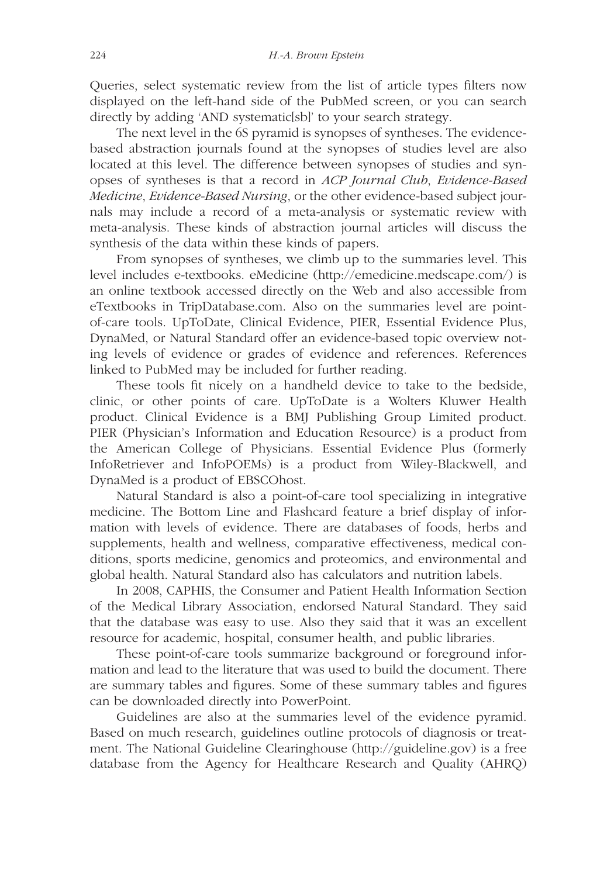Queries, select systematic review from the list of article types filters now displayed on the left-hand side of the PubMed screen, or you can search directly by adding 'AND systematic[sb]' to your search strategy.

The next level in the 6S pyramid is synopses of syntheses. The evidencebased abstraction journals found at the synopses of studies level are also located at this level. The difference between synopses of studies and synopses of syntheses is that a record in *ACP Journal Club*, *Evidence-Based Medicine*, *Evidence-Based Nursing*, or the other evidence-based subject journals may include a record of a meta-analysis or systematic review with meta-analysis. These kinds of abstraction journal articles will discuss the synthesis of the data within these kinds of papers.

From synopses of syntheses, we climb up to the summaries level. This level includes e-textbooks. eMedicine (http://emedicine.medscape.com/) is an online textbook accessed directly on the Web and also accessible from eTextbooks in TripDatabase.com. Also on the summaries level are pointof-care tools. UpToDate, Clinical Evidence, PIER, Essential Evidence Plus, DynaMed, or Natural Standard offer an evidence-based topic overview noting levels of evidence or grades of evidence and references. References linked to PubMed may be included for further reading.

These tools fit nicely on a handheld device to take to the bedside, clinic, or other points of care. UpToDate is a Wolters Kluwer Health product. Clinical Evidence is a BMJ Publishing Group Limited product. PIER (Physician's Information and Education Resource) is a product from the American College of Physicians. Essential Evidence Plus (formerly InfoRetriever and InfoPOEMs) is a product from Wiley-Blackwell, and DynaMed is a product of EBSCOhost.

Natural Standard is also a point-of-care tool specializing in integrative medicine. The Bottom Line and Flashcard feature a brief display of information with levels of evidence. There are databases of foods, herbs and supplements, health and wellness, comparative effectiveness, medical conditions, sports medicine, genomics and proteomics, and environmental and global health. Natural Standard also has calculators and nutrition labels.

In 2008, CAPHIS, the Consumer and Patient Health Information Section of the Medical Library Association, endorsed Natural Standard. They said that the database was easy to use. Also they said that it was an excellent resource for academic, hospital, consumer health, and public libraries.

These point-of-care tools summarize background or foreground information and lead to the literature that was used to build the document. There are summary tables and figures. Some of these summary tables and figures can be downloaded directly into PowerPoint.

Guidelines are also at the summaries level of the evidence pyramid. Based on much research, guidelines outline protocols of diagnosis or treatment. The National Guideline Clearinghouse (http://guideline.gov) is a free database from the Agency for Healthcare Research and Quality (AHRQ)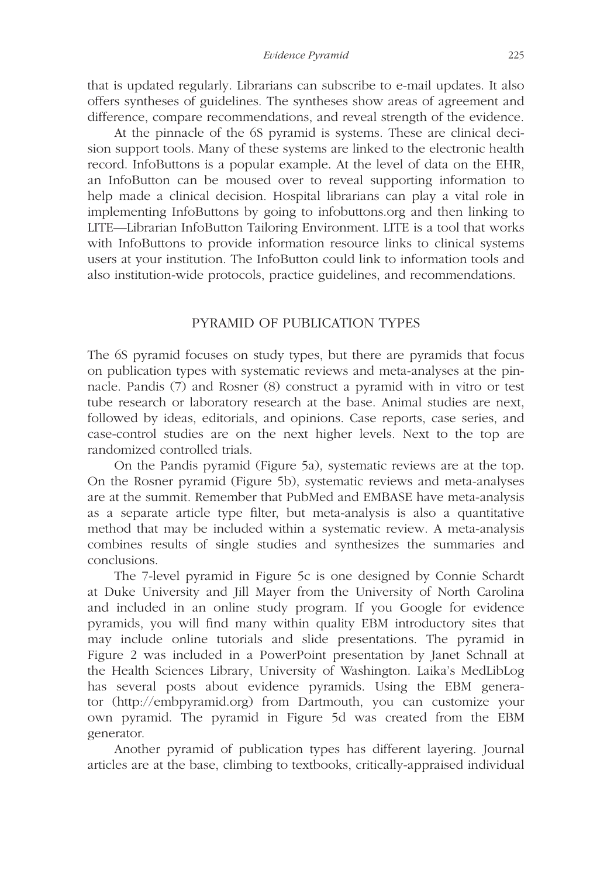that is updated regularly. Librarians can subscribe to e-mail updates. It also offers syntheses of guidelines. The syntheses show areas of agreement and difference, compare recommendations, and reveal strength of the evidence.

At the pinnacle of the 6S pyramid is systems. These are clinical decision support tools. Many of these systems are linked to the electronic health record. InfoButtons is a popular example. At the level of data on the EHR, an InfoButton can be moused over to reveal supporting information to help made a clinical decision. Hospital librarians can play a vital role in implementing InfoButtons by going to infobuttons.org and then linking to LITE—Librarian InfoButton Tailoring Environment. LITE is a tool that works with InfoButtons to provide information resource links to clinical systems users at your institution. The InfoButton could link to information tools and also institution-wide protocols, practice guidelines, and recommendations.

#### PYRAMID OF PUBLICATION TYPES

The 6S pyramid focuses on study types, but there are pyramids that focus on publication types with systematic reviews and meta-analyses at the pinnacle. Pandis (7) and Rosner (8) construct a pyramid with in vitro or test tube research or laboratory research at the base. Animal studies are next, followed by ideas, editorials, and opinions. Case reports, case series, and case-control studies are on the next higher levels. Next to the top are randomized controlled trials.

On the Pandis pyramid (Figure 5a), systematic reviews are at the top. On the Rosner pyramid (Figure 5b), systematic reviews and meta-analyses are at the summit. Remember that PubMed and EMBASE have meta-analysis as a separate article type filter, but meta-analysis is also a quantitative method that may be included within a systematic review. A meta-analysis combines results of single studies and synthesizes the summaries and conclusions.

The 7-level pyramid in Figure 5c is one designed by Connie Schardt at Duke University and Jill Mayer from the University of North Carolina and included in an online study program. If you Google for evidence pyramids, you will find many within quality EBM introductory sites that may include online tutorials and slide presentations. The pyramid in Figure 2 was included in a PowerPoint presentation by Janet Schnall at the Health Sciences Library, University of Washington. Laika's MedLibLog has several posts about evidence pyramids. Using the EBM generator (http://embpyramid.org) from Dartmouth, you can customize your own pyramid. The pyramid in Figure 5d was created from the EBM generator.

Another pyramid of publication types has different layering. Journal articles are at the base, climbing to textbooks, critically-appraised individual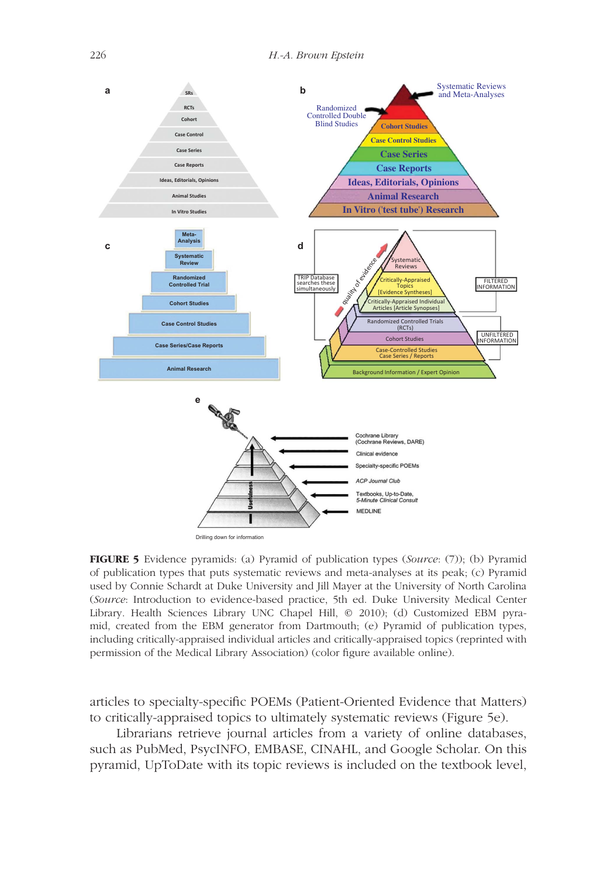

**FIGURE 5** Evidence pyramids: (a) Pyramid of publication types (*Source*: (7)); (b) Pyramid of publication types that puts systematic reviews and meta-analyses at its peak; (c) Pyramid used by Connie Schardt at Duke University and Jill Mayer at the University of North Carolina (*Source*: Introduction to evidence-based practice, 5th ed. Duke University Medical Center Library. Health Sciences Library UNC Chapel Hill, © 2010); (d) Customized EBM pyramid, created from the EBM generator from Dartmouth; (e) Pyramid of publication types, including critically-appraised individual articles and critically-appraised topics (reprinted with permission of the Medical Library Association) (color figure available online).

articles to specialty-specific POEMs (Patient-Oriented Evidence that Matters) to critically-appraised topics to ultimately systematic reviews (Figure 5e).

Librarians retrieve journal articles from a variety of online databases, such as PubMed, PsycINFO, EMBASE, CINAHL, and Google Scholar. On this pyramid, UpToDate with its topic reviews is included on the textbook level,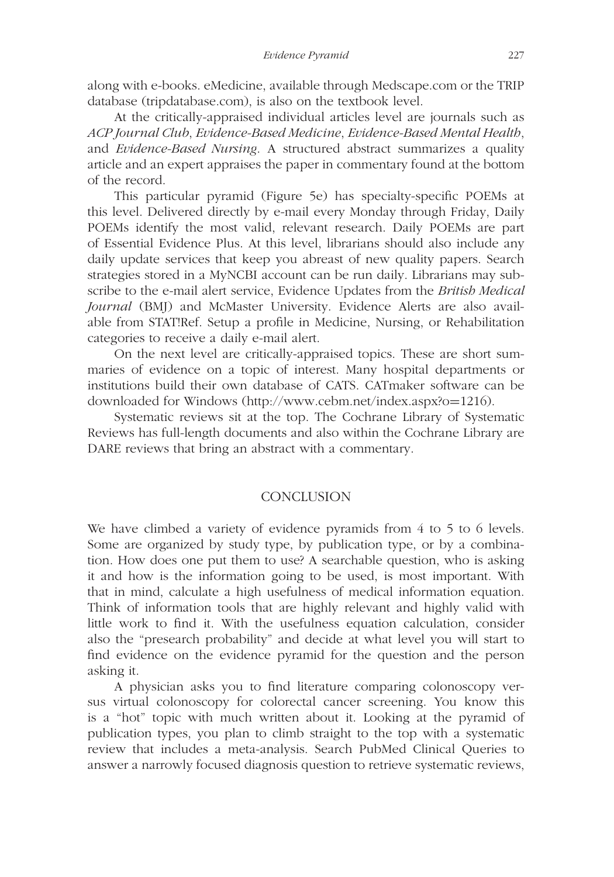along with e-books. eMedicine, available through Medscape.com or the TRIP database (tripdatabase.com), is also on the textbook level.

At the critically-appraised individual articles level are journals such as *ACP Journal Club*, *Evidence-Based Medicine*, *Evidence-Based Mental Health*, and *Evidence-Based Nursing*. A structured abstract summarizes a quality article and an expert appraises the paper in commentary found at the bottom of the record.

This particular pyramid (Figure 5e) has specialty-specific POEMs at this level. Delivered directly by e-mail every Monday through Friday, Daily POEMs identify the most valid, relevant research. Daily POEMs are part of Essential Evidence Plus. At this level, librarians should also include any daily update services that keep you abreast of new quality papers. Search strategies stored in a MyNCBI account can be run daily. Librarians may subscribe to the e-mail alert service, Evidence Updates from the *British Medical Journal* (BMJ) and McMaster University. Evidence Alerts are also available from STAT!Ref. Setup a profile in Medicine, Nursing, or Rehabilitation categories to receive a daily e-mail alert.

On the next level are critically-appraised topics. These are short summaries of evidence on a topic of interest. Many hospital departments or institutions build their own database of CATS. CATmaker software can be downloaded for Windows (http://www.cebm.net/index.aspx?o=1216).

Systematic reviews sit at the top. The Cochrane Library of Systematic Reviews has full-length documents and also within the Cochrane Library are DARE reviews that bring an abstract with a commentary.

#### **CONCLUSION**

We have climbed a variety of evidence pyramids from 4 to 5 to 6 levels. Some are organized by study type, by publication type, or by a combination. How does one put them to use? A searchable question, who is asking it and how is the information going to be used, is most important. With that in mind, calculate a high usefulness of medical information equation. Think of information tools that are highly relevant and highly valid with little work to find it. With the usefulness equation calculation, consider also the "presearch probability" and decide at what level you will start to find evidence on the evidence pyramid for the question and the person asking it.

A physician asks you to find literature comparing colonoscopy versus virtual colonoscopy for colorectal cancer screening. You know this is a "hot" topic with much written about it. Looking at the pyramid of publication types, you plan to climb straight to the top with a systematic review that includes a meta-analysis. Search PubMed Clinical Queries to answer a narrowly focused diagnosis question to retrieve systematic reviews,